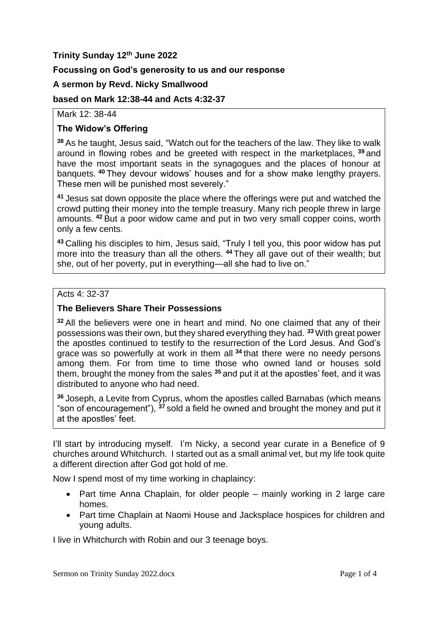# **Trinity Sunday 12th June 2022**

## **Focussing on God's generosity to us and our response**

#### **A sermon by Revd. Nicky Smallwood**

#### **based on Mark 12:38-44 and Acts 4:32-37**

Mark 12: 38-44

## **The Widow's Offering**

**<sup>38</sup>** As he taught, Jesus said, "Watch out for the teachers of the law. They like to walk around in flowing robes and be greeted with respect in the marketplaces, **<sup>39</sup>** and have the most important seats in the synagogues and the places of honour at banquets. **<sup>40</sup>** They devour widows' houses and for a show make lengthy prayers. These men will be punished most severely."

**<sup>41</sup>** Jesus sat down opposite the place where the offerings were put and watched the crowd putting their money into the temple treasury. Many rich people threw in large amounts. **<sup>42</sup>** But a poor widow came and put in two very small copper coins, worth only a few cents.

**<sup>43</sup>** Calling his disciples to him, Jesus said, "Truly I tell you, this poor widow has put more into the treasury than all the others. **<sup>44</sup>** They all gave out of their wealth; but she, out of her poverty, put in everything—all she had to live on."

#### Acts 4: 32-37

## **The Believers Share Their Possessions**

**<sup>32</sup>** All the believers were one in heart and mind. No one claimed that any of their possessions was their own, but they shared everything they had. **<sup>33</sup>** With great power the apostles continued to testify to the resurrection of the Lord Jesus. And God's grace was so powerfully at work in them all **<sup>34</sup>** that there were no needy persons among them. For from time to time those who owned land or houses sold them, brought the money from the sales **<sup>35</sup>** and put it at the apostles' feet, and it was distributed to anyone who had need.

**<sup>36</sup>** Joseph, a Levite from Cyprus, whom the apostles called Barnabas (which means "son of encouragement"), **<sup>37</sup>** sold a field he owned and brought the money and put it at the apostles' feet.

I'll start by introducing myself. I'm Nicky, a second year curate in a Benefice of 9 churches around Whitchurch. I started out as a small animal vet, but my life took quite a different direction after God got hold of me.

Now I spend most of my time working in chaplaincy:

- Part time Anna Chaplain, for older people mainly working in 2 large care homes.
- Part time Chaplain at Naomi House and Jacksplace hospices for children and young adults.

I live in Whitchurch with Robin and our 3 teenage boys.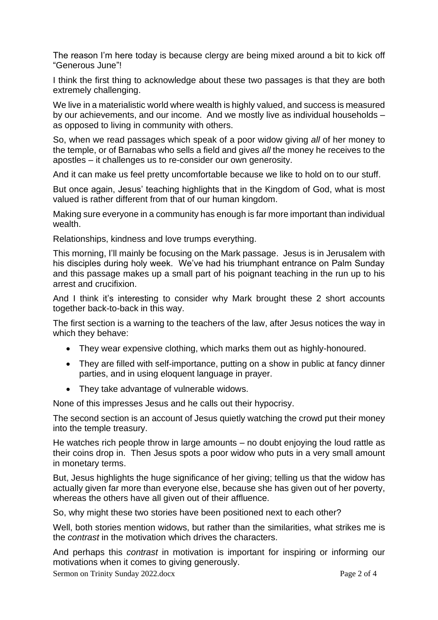The reason I'm here today is because clergy are being mixed around a bit to kick off "Generous June"!

I think the first thing to acknowledge about these two passages is that they are both extremely challenging.

We live in a materialistic world where wealth is highly valued, and success is measured by our achievements, and our income. And we mostly live as individual households – as opposed to living in community with others.

So, when we read passages which speak of a poor widow giving *all* of her money to the temple, or of Barnabas who sells a field and gives *all* the money he receives to the apostles – it challenges us to re-consider our own generosity.

And it can make us feel pretty uncomfortable because we like to hold on to our stuff.

But once again, Jesus' teaching highlights that in the Kingdom of God, what is most valued is rather different from that of our human kingdom.

Making sure everyone in a community has enough is far more important than individual wealth.

Relationships, kindness and love trumps everything.

This morning, I'll mainly be focusing on the Mark passage. Jesus is in Jerusalem with his disciples during holy week. We've had his triumphant entrance on Palm Sunday and this passage makes up a small part of his poignant teaching in the run up to his arrest and crucifixion.

And I think it's interesting to consider why Mark brought these 2 short accounts together back-to-back in this way.

The first section is a warning to the teachers of the law, after Jesus notices the way in which they behave:

- They wear expensive clothing, which marks them out as highly-honoured.
- They are filled with self-importance, putting on a show in public at fancy dinner parties, and in using eloquent language in prayer.
- They take advantage of vulnerable widows.

None of this impresses Jesus and he calls out their hypocrisy.

The second section is an account of Jesus quietly watching the crowd put their money into the temple treasury.

He watches rich people throw in large amounts – no doubt enjoying the loud rattle as their coins drop in. Then Jesus spots a poor widow who puts in a very small amount in monetary terms.

But, Jesus highlights the huge significance of her giving; telling us that the widow has actually given far more than everyone else, because she has given out of her poverty, whereas the others have all given out of their affluence.

So, why might these two stories have been positioned next to each other?

Well, both stories mention widows, but rather than the similarities, what strikes me is the *contrast* in the motivation which drives the characters.

And perhaps this *contrast* in motivation is important for inspiring or informing our motivations when it comes to giving generously.

Sermon on Trinity Sunday 2022.docx Page 2 of 4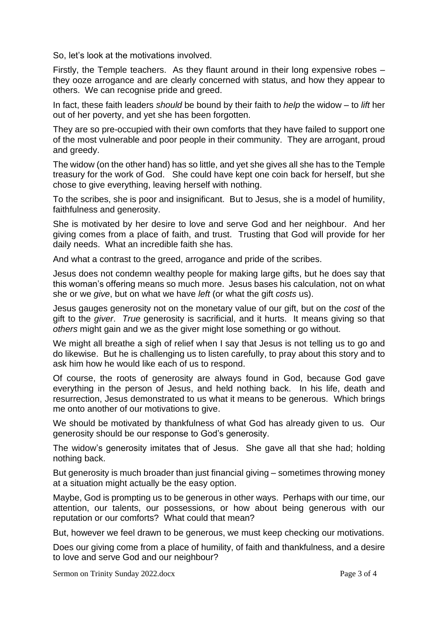So, let's look at the motivations involved.

Firstly, the Temple teachers. As they flaunt around in their long expensive robes – they ooze arrogance and are clearly concerned with status, and how they appear to others. We can recognise pride and greed.

In fact, these faith leaders *should* be bound by their faith to *help* the widow – to *lift* her out of her poverty, and yet she has been forgotten.

They are so pre-occupied with their own comforts that they have failed to support one of the most vulnerable and poor people in their community. They are arrogant, proud and greedy.

The widow (on the other hand) has so little, and yet she gives all she has to the Temple treasury for the work of God. She could have kept one coin back for herself, but she chose to give everything, leaving herself with nothing.

To the scribes, she is poor and insignificant. But to Jesus, she is a model of humility, faithfulness and generosity.

She is motivated by her desire to love and serve God and her neighbour. And her giving comes from a place of faith, and trust. Trusting that God will provide for her daily needs. What an incredible faith she has.

And what a contrast to the greed, arrogance and pride of the scribes.

Jesus does not condemn wealthy people for making large gifts, but he does say that this woman's offering means so much more. Jesus bases his calculation, not on what she or we *give*, but on what we have *left* (or what the gift *costs* us).

Jesus gauges generosity not on the monetary value of our gift, but on the *cost* of the gift to the *giver*. *True* generosity is sacrificial, and it hurts. It means giving so that *others* might gain and we as the giver might lose something or go without.

We might all breathe a sigh of relief when I say that Jesus is not telling us to go and do likewise. But he is challenging us to listen carefully, to pray about this story and to ask him how he would like each of us to respond.

Of course, the roots of generosity are always found in God, because God gave everything in the person of Jesus, and held nothing back. In his life, death and resurrection, Jesus demonstrated to us what it means to be generous. Which brings me onto another of our motivations to give.

We should be motivated by thankfulness of what God has already given to us. Our generosity should be our response to God's generosity.

The widow's generosity imitates that of Jesus. She gave all that she had; holding nothing back.

But generosity is much broader than just financial giving – sometimes throwing money at a situation might actually be the easy option.

Maybe, God is prompting us to be generous in other ways. Perhaps with our time, our attention, our talents, our possessions, or how about being generous with our reputation or our comforts? What could that mean?

But, however we feel drawn to be generous, we must keep checking our motivations.

Does our giving come from a place of humility, of faith and thankfulness, and a desire to love and serve God and our neighbour?